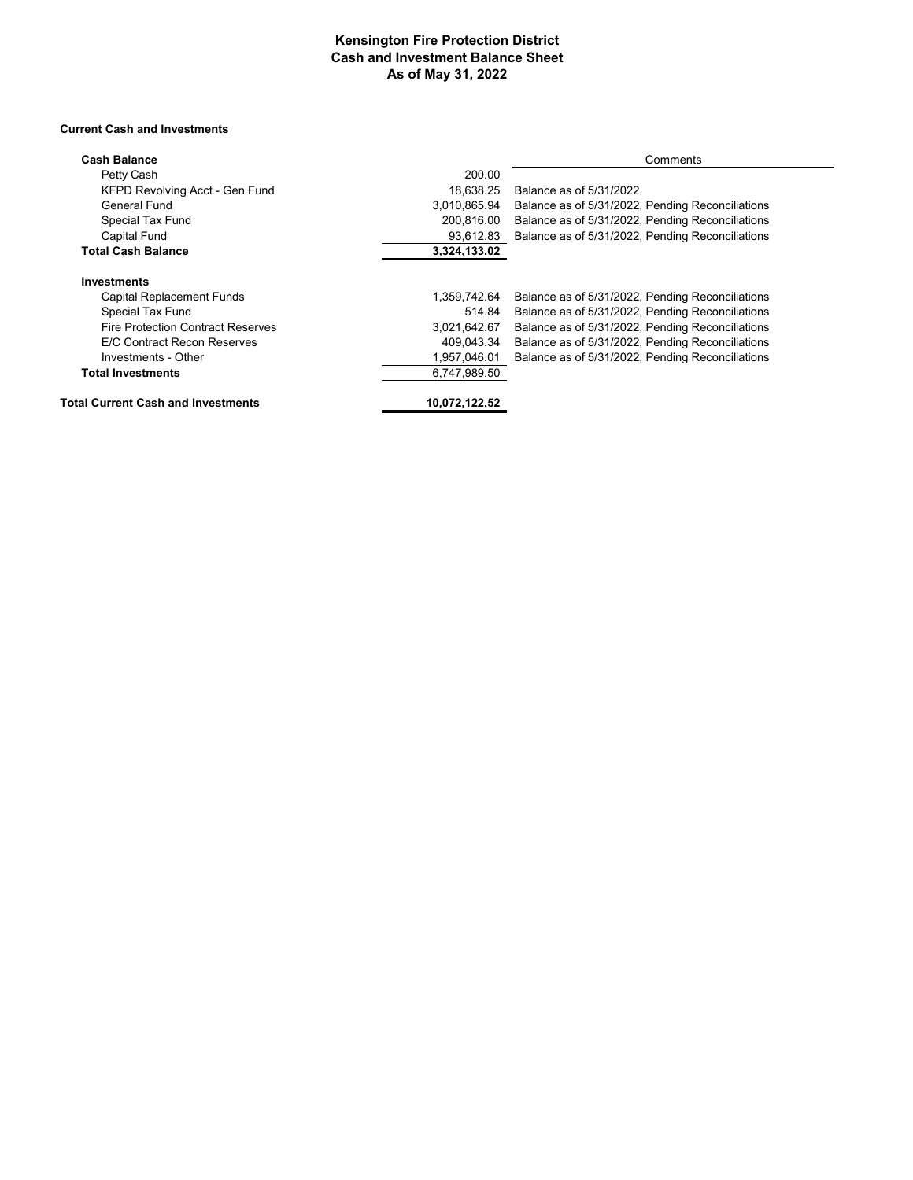#### **Kensington Fire Protection District Cash and Investment Balance Sheet As of May 31, 2022**

÷.

#### **Current Cash and Investments**

| <b>Cash Balance</b>                       |               | Comments                                         |
|-------------------------------------------|---------------|--------------------------------------------------|
| Petty Cash                                | 200.00        |                                                  |
| KFPD Revolving Acct - Gen Fund            | 18.638.25     | Balance as of 5/31/2022                          |
| General Fund                              | 3,010,865.94  | Balance as of 5/31/2022, Pending Reconciliations |
| Special Tax Fund                          | 200,816.00    | Balance as of 5/31/2022, Pending Reconciliations |
| <b>Capital Fund</b>                       | 93,612.83     | Balance as of 5/31/2022, Pending Reconciliations |
| <b>Total Cash Balance</b>                 | 3,324,133.02  |                                                  |
| <b>Investments</b>                        |               |                                                  |
| Capital Replacement Funds                 | 1,359,742.64  | Balance as of 5/31/2022, Pending Reconciliations |
| Special Tax Fund                          | 514.84        | Balance as of 5/31/2022, Pending Reconciliations |
| <b>Fire Protection Contract Reserves</b>  | 3,021,642.67  | Balance as of 5/31/2022, Pending Reconciliations |
| E/C Contract Recon Reserves               | 409,043.34    | Balance as of 5/31/2022, Pending Reconciliations |
| Investments - Other                       | 1,957,046.01  | Balance as of 5/31/2022, Pending Reconciliations |
| <b>Total Investments</b>                  | 6,747,989.50  |                                                  |
| <b>Total Current Cash and Investments</b> | 10,072,122.52 |                                                  |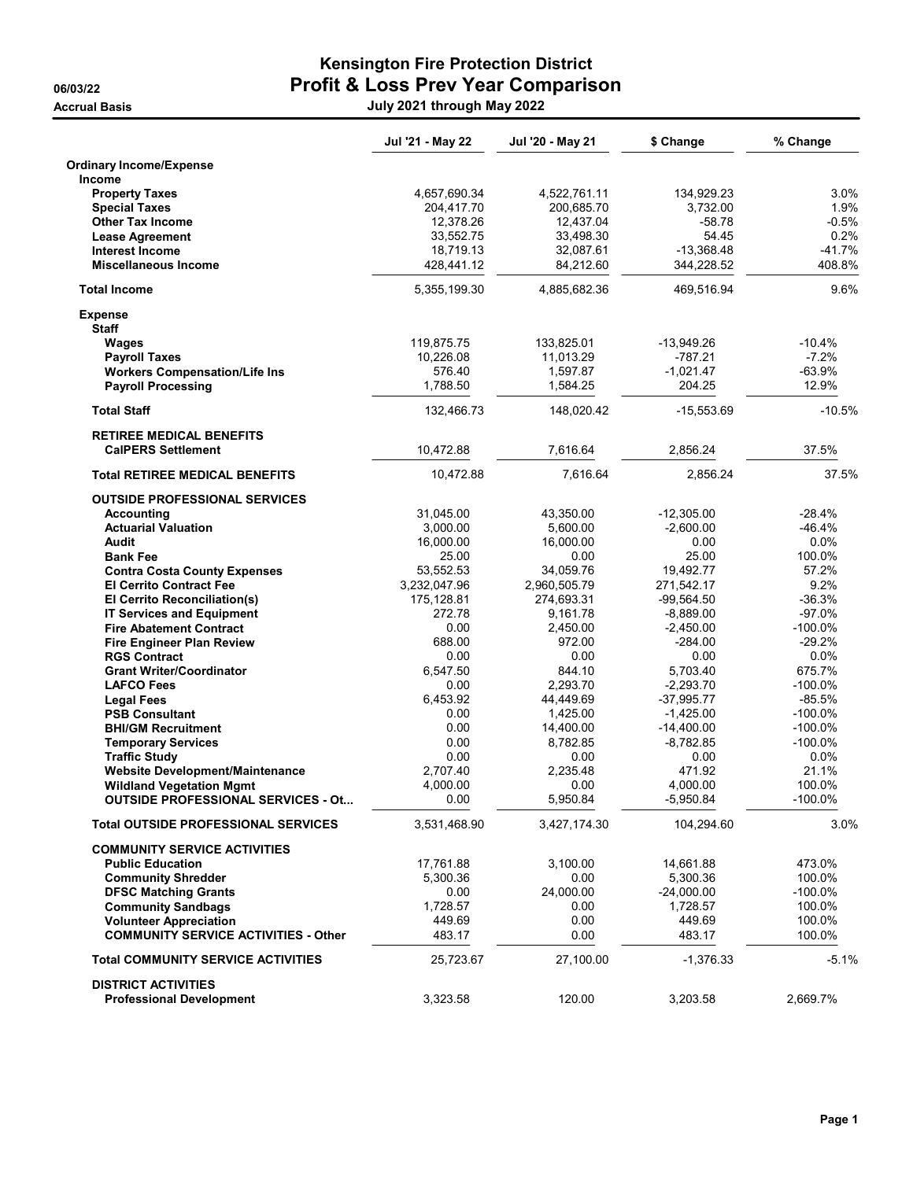### Kensington Fire Protection District 06/03/22 **Profit & Loss Prev Year Comparison** Accrual Basis July 2021 through May 2022

|                                                                                                                        | Jul '21 - May 22                                     | Jul '20 - May 21                                     | \$ Change                                        | % Change                                 |
|------------------------------------------------------------------------------------------------------------------------|------------------------------------------------------|------------------------------------------------------|--------------------------------------------------|------------------------------------------|
| <b>Ordinary Income/Expense</b><br><b>Income</b>                                                                        |                                                      |                                                      |                                                  |                                          |
| <b>Property Taxes</b><br><b>Special Taxes</b><br><b>Other Tax Income</b><br><b>Lease Agreement</b>                     | 4,657,690.34<br>204,417.70<br>12,378.26<br>33,552.75 | 4,522,761.11<br>200,685.70<br>12,437.04<br>33,498.30 | 134,929.23<br>3,732.00<br>$-58.78$<br>54.45      | 3.0%<br>1.9%<br>$-0.5%$<br>0.2%          |
| <b>Interest Income</b><br><b>Miscellaneous Income</b>                                                                  | 18,719.13<br>428,441.12                              | 32,087.61<br>84,212.60                               | $-13,368.48$<br>344,228.52                       | -41.7%<br>408.8%                         |
| <b>Total Income</b>                                                                                                    | 5,355,199.30                                         | 4,885,682.36                                         | 469,516.94                                       | 9.6%                                     |
| <b>Expense</b><br><b>Staff</b>                                                                                         |                                                      |                                                      |                                                  |                                          |
| Wages<br><b>Payroll Taxes</b><br><b>Workers Compensation/Life Ins</b><br><b>Payroll Processing</b>                     | 119,875.75<br>10,226.08<br>576.40<br>1,788.50        | 133,825.01<br>11,013.29<br>1,597.87<br>1,584.25      | $-13,949.26$<br>-787.21<br>$-1,021.47$<br>204.25 | $-10.4%$<br>$-7.2%$<br>$-63.9%$<br>12.9% |
| <b>Total Staff</b>                                                                                                     | 132,466.73                                           | 148,020.42                                           | $-15,553.69$                                     | $-10.5%$                                 |
| <b>RETIREE MEDICAL BENEFITS</b><br><b>CalPERS Settlement</b>                                                           | 10,472.88                                            | 7,616.64                                             | 2,856.24                                         | 37.5%                                    |
| <b>Total RETIREE MEDICAL BENEFITS</b>                                                                                  | 10,472.88                                            | 7.616.64                                             | 2,856.24                                         | 37.5%                                    |
| <b>OUTSIDE PROFESSIONAL SERVICES</b><br>Accounting                                                                     | 31,045.00                                            | 43,350.00                                            | $-12,305.00$                                     | $-28.4%$                                 |
| <b>Actuarial Valuation</b><br>Audit                                                                                    | 3,000.00<br>16,000.00                                | 5,600.00<br>16,000.00                                | $-2,600.00$<br>0.00                              | $-46.4%$<br>0.0%                         |
| <b>Bank Fee</b>                                                                                                        | 25.00                                                | 0.00                                                 | 25.00                                            | 100.0%                                   |
| <b>Contra Costa County Expenses</b><br><b>El Cerrito Contract Fee</b><br><b>El Cerrito Reconciliation(s)</b>           | 53,552.53<br>3,232,047.96<br>175,128.81              | 34,059.76<br>2,960,505.79<br>274,693.31              | 19,492.77<br>271,542.17<br>$-99,564.50$          | 57.2%<br>9.2%<br>$-36.3%$                |
| <b>IT Services and Equipment</b><br><b>Fire Abatement Contract</b><br><b>Fire Engineer Plan Review</b>                 | 272.78<br>0.00<br>688.00                             | 9,161.78<br>2,450.00<br>972.00                       | $-8,889.00$<br>$-2,450.00$<br>$-284.00$          | $-97.0%$<br>-100.0%<br>$-29.2%$          |
| <b>RGS Contract</b><br><b>Grant Writer/Coordinator</b>                                                                 | 0.00<br>6,547.50                                     | 0.00<br>844.10                                       | 0.00<br>5,703.40                                 | $0.0\%$<br>675.7%                        |
| <b>LAFCO Fees</b><br><b>Legal Fees</b><br><b>PSB Consultant</b>                                                        | 0.00<br>6,453.92<br>0.00                             | 2,293.70<br>44,449.69<br>1,425.00                    | $-2,293.70$<br>$-37,995.77$<br>$-1,425.00$       | -100.0%<br>$-85.5%$<br>-100.0%           |
| <b>BHI/GM Recruitment</b><br><b>Temporary Services</b><br><b>Traffic Study</b>                                         | 0.00<br>0.00<br>0.00                                 | 14,400.00<br>8,782.85<br>0.00                        | $-14,400.00$<br>$-8,782.85$<br>0.00              | -100.0%<br>-100.0%<br>$0.0\%$            |
| <b>Website Development/Maintenance</b><br><b>Wildland Vegetation Mgmt</b><br><b>OUTSIDE PROFESSIONAL SERVICES - Ot</b> | 2,707.40<br>4,000.00<br>0.00                         | 2,235.48<br>0.00<br>5,950.84                         | 471.92<br>4,000.00<br>-5,950.84                  | 21.1%<br>100.0%<br>-100.0%               |
| <b>Total OUTSIDE PROFESSIONAL SERVICES</b>                                                                             | 3,531,468.90                                         | 3,427,174.30                                         | 104,294.60                                       | 3.0%                                     |
| <b>COMMUNITY SERVICE ACTIVITIES</b><br><b>Public Education</b>                                                         | 17,761.88                                            | 3,100.00                                             | 14,661.88                                        | 473.0%                                   |
| <b>Community Shredder</b><br><b>DFSC Matching Grants</b><br><b>Community Sandbags</b><br><b>Volunteer Appreciation</b> | 5,300.36<br>0.00<br>1,728.57<br>449.69               | 0.00<br>24.000.00<br>0.00<br>0.00                    | 5,300.36<br>$-24,000.00$<br>1,728.57<br>449.69   | 100.0%<br>$-100.0%$<br>100.0%<br>100.0%  |
| <b>COMMUNITY SERVICE ACTIVITIES - Other</b>                                                                            | 483.17                                               | 0.00                                                 | 483.17                                           | 100.0%                                   |
| <b>Total COMMUNITY SERVICE ACTIVITIES</b>                                                                              | 25,723.67                                            | 27,100.00                                            | $-1,376.33$                                      | $-5.1%$                                  |
| <b>DISTRICT ACTIVITIES</b><br><b>Professional Development</b>                                                          | 3,323.58                                             | 120.00                                               | 3,203.58                                         | 2,669.7%                                 |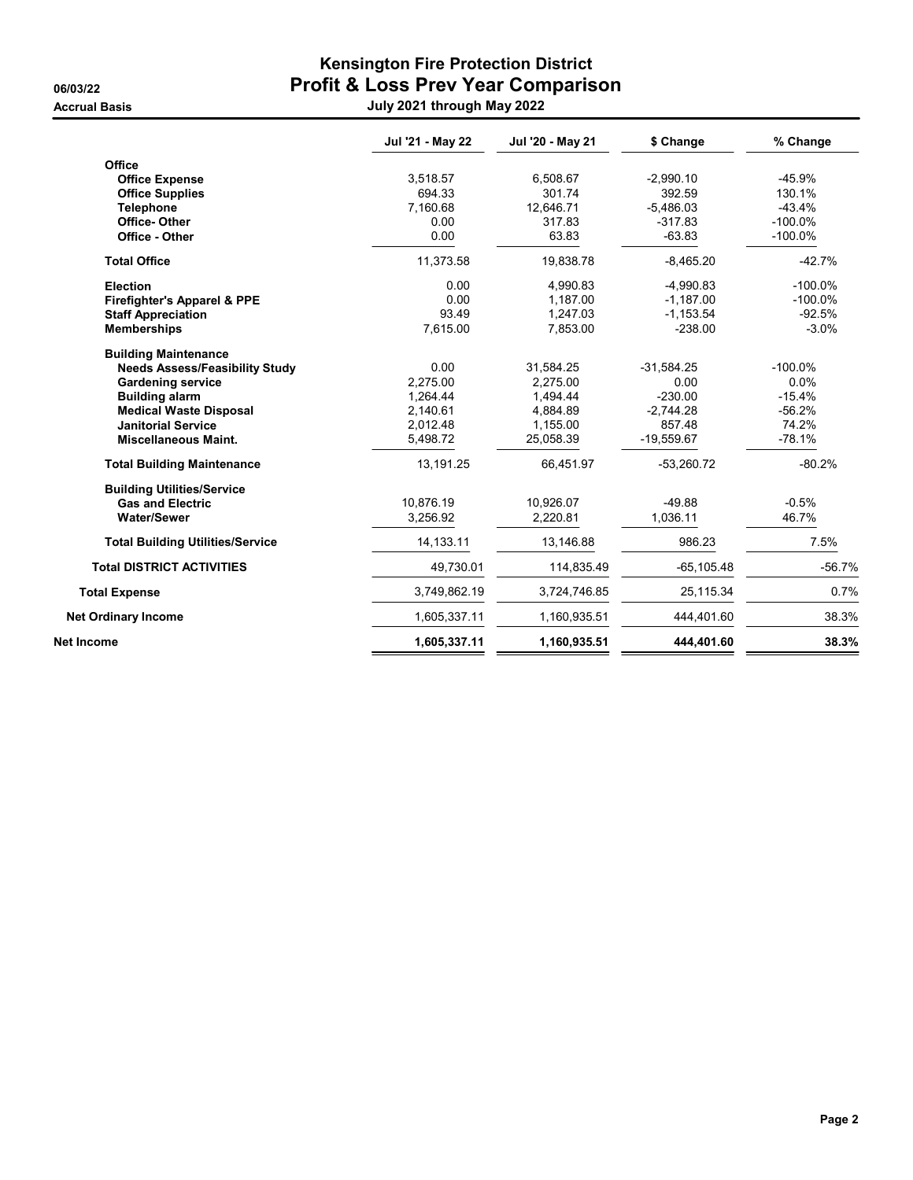## Kensington Fire Protection District 06/03/22 Profit & Loss Prev Year Comparison Accrual Basis July 2021 through May 2022

|                                         | Jul '21 - May 22 | Jul '20 - May 21 | \$ Change     | % Change   |
|-----------------------------------------|------------------|------------------|---------------|------------|
| Office                                  |                  |                  |               |            |
| <b>Office Expense</b>                   | 3,518.57         | 6,508.67         | $-2,990.10$   | $-45.9%$   |
| <b>Office Supplies</b>                  | 694.33           | 301.74           | 392.59        | 130.1%     |
| <b>Telephone</b>                        | 7,160.68         | 12,646.71        | $-5,486.03$   | $-43.4%$   |
| Office-Other                            | 0.00             | 317.83           | $-317.83$     | $-100.0\%$ |
| Office - Other                          | 0.00             | 63.83            | $-63.83$      | $-100.0%$  |
| <b>Total Office</b>                     | 11,373.58        | 19,838.78        | $-8,465.20$   | $-42.7%$   |
| <b>Election</b>                         | 0.00             | 4,990.83         | $-4,990.83$   | $-100.0%$  |
| <b>Firefighter's Apparel &amp; PPE</b>  | 0.00             | 1,187.00         | $-1,187.00$   | $-100.0%$  |
| <b>Staff Appreciation</b>               | 93.49            | 1,247.03         | $-1,153.54$   | $-92.5%$   |
| <b>Memberships</b>                      | 7,615.00         | 7,853.00         | $-238.00$     | $-3.0%$    |
| <b>Building Maintenance</b>             |                  |                  |               |            |
| <b>Needs Assess/Feasibility Study</b>   | 0.00             | 31,584.25        | $-31,584.25$  | $-100.0\%$ |
| <b>Gardening service</b>                | 2,275.00         | 2.275.00         | 0.00          | 0.0%       |
| <b>Building alarm</b>                   | 1,264.44         | 1.494.44         | $-230.00$     | $-15.4%$   |
| <b>Medical Waste Disposal</b>           | 2,140.61         | 4,884.89         | $-2,744.28$   | $-56.2%$   |
| <b>Janitorial Service</b>               | 2,012.48         | 1,155.00         | 857.48        | 74.2%      |
| <b>Miscellaneous Maint.</b>             | 5,498.72         | 25,058.39        | $-19,559.67$  | $-78.1%$   |
| <b>Total Building Maintenance</b>       | 13,191.25        | 66,451.97        | $-53,260.72$  | $-80.2%$   |
| <b>Building Utilities/Service</b>       |                  |                  |               |            |
| <b>Gas and Electric</b>                 | 10,876.19        | 10,926.07        | $-49.88$      | $-0.5%$    |
| <b>Water/Sewer</b>                      | 3.256.92         | 2,220.81         | 1,036.11      | 46.7%      |
| <b>Total Building Utilities/Service</b> | 14,133.11        | 13,146.88        | 986.23        | 7.5%       |
| <b>Total DISTRICT ACTIVITIES</b>        | 49,730.01        | 114,835.49       | $-65, 105.48$ | $-56.7%$   |
| <b>Total Expense</b>                    | 3,749,862.19     | 3,724,746.85     | 25,115.34     | 0.7%       |
| <b>Net Ordinary Income</b>              | 1,605,337.11     | 1,160,935.51     | 444,401.60    | 38.3%      |
| Net Income                              | 1,605,337.11     | 1,160,935.51     | 444,401.60    | 38.3%      |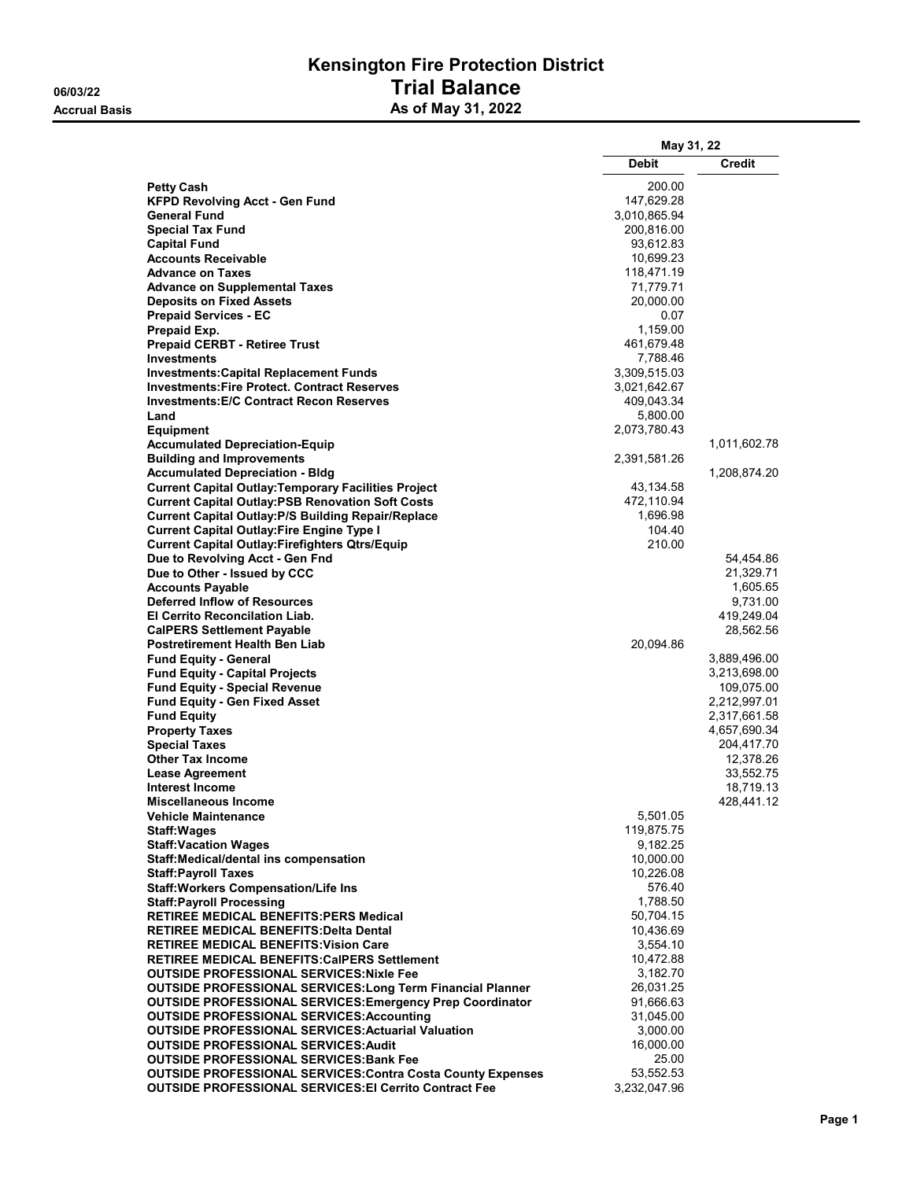## Kensington Fire Protection District 06/03/22 Trial Balance Accrual Basis **Accrual Basis** As of May 31, 2022

|                                                                                                                        | May 31, 22            |                              |
|------------------------------------------------------------------------------------------------------------------------|-----------------------|------------------------------|
|                                                                                                                        | <b>Debit</b>          | <b>Credit</b>                |
|                                                                                                                        |                       |                              |
| <b>Petty Cash</b><br>KFPD Revolving Acct - Gen Fund                                                                    | 200.00<br>147,629.28  |                              |
| <b>General Fund</b>                                                                                                    | 3,010,865.94          |                              |
| <b>Special Tax Fund</b>                                                                                                | 200,816.00            |                              |
| <b>Capital Fund</b>                                                                                                    | 93,612.83             |                              |
| <b>Accounts Receivable</b>                                                                                             | 10,699.23             |                              |
| <b>Advance on Taxes</b>                                                                                                | 118,471.19            |                              |
| <b>Advance on Supplemental Taxes</b>                                                                                   | 71,779.71             |                              |
| <b>Deposits on Fixed Assets</b>                                                                                        | 20,000.00             |                              |
| <b>Prepaid Services - EC</b>                                                                                           | 0.07                  |                              |
| Prepaid Exp.                                                                                                           | 1,159.00              |                              |
| <b>Prepaid CERBT - Retiree Trust</b>                                                                                   | 461,679.48            |                              |
| <b>Investments</b>                                                                                                     | 7,788.46              |                              |
| <b>Investments:Capital Replacement Funds</b>                                                                           | 3,309,515.03          |                              |
| <b>Investments:Fire Protect, Contract Reserves</b>                                                                     | 3,021,642.67          |                              |
| <b>Investments: E/C Contract Recon Reserves</b>                                                                        | 409,043.34            |                              |
| Land                                                                                                                   | 5,800.00              |                              |
| <b>Equipment</b>                                                                                                       | 2,073,780.43          |                              |
| <b>Accumulated Depreciation-Equip</b>                                                                                  |                       | 1,011,602.78                 |
| <b>Building and Improvements</b><br><b>Accumulated Depreciation - Bldg</b>                                             | 2,391,581.26          |                              |
|                                                                                                                        | 43,134.58             | 1,208,874.20                 |
| <b>Current Capital Outlay: Temporary Facilities Project</b><br><b>Current Capital Outlay:PSB Renovation Soft Costs</b> | 472,110.94            |                              |
| <b>Current Capital Outlay: P/S Building Repair/Replace</b>                                                             | 1,696.98              |                              |
| <b>Current Capital Outlay: Fire Engine Type I</b>                                                                      | 104.40                |                              |
| <b>Current Capital Outlay:Firefighters Qtrs/Equip</b>                                                                  | 210.00                |                              |
| Due to Revolving Acct - Gen Fnd                                                                                        |                       | 54,454.86                    |
| Due to Other - Issued by CCC                                                                                           |                       | 21,329.71                    |
| <b>Accounts Payable</b>                                                                                                |                       | 1,605.65                     |
| <b>Deferred Inflow of Resources</b>                                                                                    |                       | 9,731.00                     |
| El Cerrito Reconcilation Liab.                                                                                         |                       | 419,249.04                   |
| <b>CalPERS Settlement Payable</b>                                                                                      |                       | 28,562.56                    |
| Postretirement Health Ben Liab                                                                                         | 20,094.86             |                              |
| <b>Fund Equity - General</b>                                                                                           |                       | 3,889,496.00                 |
| <b>Fund Equity - Capital Projects</b>                                                                                  |                       | 3,213,698.00                 |
| <b>Fund Equity - Special Revenue</b>                                                                                   |                       | 109,075.00                   |
| <b>Fund Equity - Gen Fixed Asset</b>                                                                                   |                       | 2,212,997.01                 |
| <b>Fund Equity</b>                                                                                                     |                       | 2,317,661.58<br>4,657,690.34 |
| <b>Property Taxes</b><br><b>Special Taxes</b>                                                                          |                       | 204,417.70                   |
| <b>Other Tax Income</b>                                                                                                |                       | 12,378.26                    |
| <b>Lease Agreement</b>                                                                                                 |                       | 33,552.75                    |
| <b>Interest Income</b>                                                                                                 |                       | 18,719.13                    |
| <b>Miscellaneous Income</b>                                                                                            |                       | 428,441.12                   |
| <b>Vehicle Maintenance</b>                                                                                             | 5,501.05              |                              |
| <b>Staff:Wages</b>                                                                                                     | 119,875.75            |                              |
| <b>Staff: Vacation Wages</b>                                                                                           | 9,182.25              |                              |
| Staff: Medical/dental ins compensation                                                                                 | 10,000.00             |                              |
| <b>Staff:Payroll Taxes</b>                                                                                             | 10,226.08             |                              |
| <b>Staff: Workers Compensation/Life Ins</b>                                                                            | 576.40                |                              |
| <b>Staff:Payroll Processing</b>                                                                                        | 1,788.50              |                              |
| <b>RETIREE MEDICAL BENEFITS: PERS Medical</b>                                                                          | 50,704.15             |                              |
| <b>RETIREE MEDICAL BENEFITS: Delta Dental</b>                                                                          | 10,436.69             |                              |
| <b>RETIREE MEDICAL BENEFITS: Vision Care</b>                                                                           | 3,554.10              |                              |
| <b>RETIREE MEDICAL BENEFITS: CalPERS Settlement</b>                                                                    | 10,472.88             |                              |
| <b>OUTSIDE PROFESSIONAL SERVICES: Nixle Fee</b>                                                                        | 3,182.70              |                              |
| <b>OUTSIDE PROFESSIONAL SERVICES: Long Term Financial Planner</b>                                                      | 26,031.25             |                              |
| <b>OUTSIDE PROFESSIONAL SERVICES: Emergency Prep Coordinator</b>                                                       | 91,666.63             |                              |
| <b>OUTSIDE PROFESSIONAL SERVICES: Accounting</b>                                                                       | 31,045.00<br>3,000.00 |                              |
| <b>OUTSIDE PROFESSIONAL SERVICES: Actuarial Valuation</b><br><b>OUTSIDE PROFESSIONAL SERVICES: Audit</b>               | 16,000.00             |                              |
| <b>OUTSIDE PROFESSIONAL SERVICES: Bank Fee</b>                                                                         | 25.00                 |                              |
| <b>OUTSIDE PROFESSIONAL SERVICES: Contra Costa County Expenses</b>                                                     | 53,552.53             |                              |
| <b>OUTSIDE PROFESSIONAL SERVICES: EI Cerrito Contract Fee</b>                                                          | 3,232,047.96          |                              |
|                                                                                                                        |                       |                              |